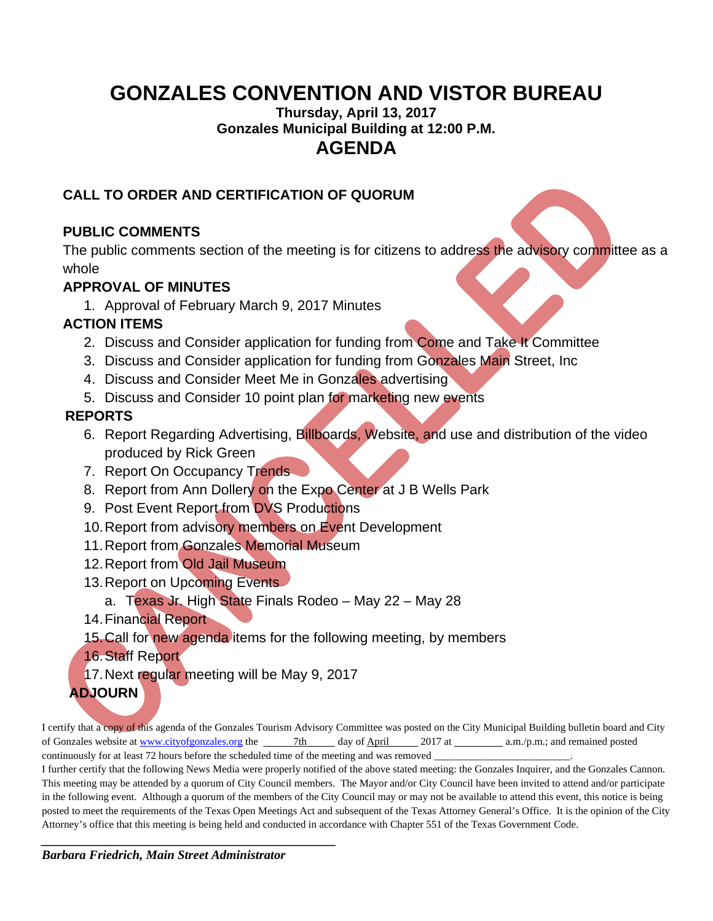# **GONZALES CONVENTION AND VISTOR BUREAU**

**Thursday, April 13, 2017 Gonzales Municipal Building at 12:00 P.M. AGENDA** 

### **CALL TO ORDER AND CERTIFICATION OF QUORUM**

# **PUBLIC COMMENTS**

The public comments section of the meeting is for citizens to address the advisory committee as a whole

# **APPROVAL OF MINUTES**

1. Approval of February March 9, 2017 Minutes

#### **ACTION ITEMS**

- 2. Discuss and Consider application for funding from Come and Take It Committee
- 3. Discuss and Consider application for funding from Gonzales Main Street, Inc
- 4. Discuss and Consider Meet Me in Gonzales advertising
- 5. Discuss and Consider 10 point plan for marketing new events

# **REPORTS**

- 6. Report Regarding Advertising, Billboards, Website, and use and distribution of the video produced by Rick Green
- 7. Report On Occupancy Trends
- 8. Report from Ann Dollery on the Expo Center at J B Wells Park
- 9. Post Event Report from DVS Productions
- 10. Report from advisory members on Event Development
- 11. Report from Gonzales Memorial Museum
- 12. Report from Old Jail Museum
- 13. Report on Upcoming Events
	- a. Texas Jr. High State Finals Rodeo May 22 May 28
- 14. Financial Report
- 15. Call for new agenda items for the following meeting, by members
- 16. Staff Report
- 17. Next regular meeting will be May 9, 2017
- **ADJOURN**

I certify that a copy of this agenda of the Gonzales Tourism Advisory Committee was posted on the City Municipal Building bulletin board and City of Gonzales website at www.cityofgonzales.org the 7th day of April 2017 at a.m./p.m.; and remained posted continuously for at least 72 hours before the scheduled time of the meeting and was removed \_

I further certify that the following News Media were properly notified of the above stated meeting: the Gonzales Inquirer, and the Gonzales Cannon. This meeting may be attended by a quorum of City Council members. The Mayor and/or City Council have been invited to attend and/or participate in the following event. Although a quorum of the members of the City Council may or may not be available to attend this event, this notice is being posted to meet the requirements of the Texas Open Meetings Act and subsequent of the Texas Attorney General's Office. It is the opinion of the City Attorney's office that this meeting is being held and conducted in accordance with Chapter 551 of the Texas Government Code.